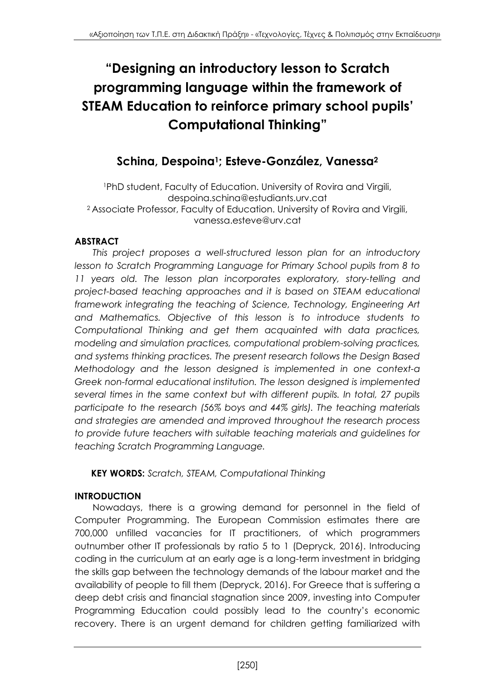# **"Designing an introductory lesson to Scratch programming language within the framework of STEAM Education to reinforce primary school pupils' Computational Thinking"**

## **Schina, Despoina1; Esteve-González, Vanessa<sup>2</sup>**

<sup>1</sup>PhD student, Faculty of Education. University of Rovira and Virgili, [despoina.schina@estudiants.urv.cat](mailto:despoina.schina@estudiants.urv.cat) <sup>2</sup>Associate Professor, Faculty of Education. University of Rovira and Virgili, [vanessa.esteve@urv.cat](mailto:vanessa.esteve@urv.cat)

## **ABSTRACT**

*This project proposes a well-structured lesson plan for an introductory lesson to Scratch Programming Language for Primary School pupils from 8 to 11 years old. The lesson plan incorporates exploratory, story-telling and project-based teaching approaches and it is based on STEAM educational framework integrating the teaching of Science, Technology, Engineering Art and Mathematics. Objective of this lesson is to introduce students to Computational Thinking and get them acquainted with data practices, modeling and simulation practices, computational problem-solving practices, and systems thinking practices. The present research follows the Design Based Methodology and the lesson designed is implemented in one context-a Greek non-formal educational institution. The lesson designed is implemented several times in the same context but with different pupils. In total, 27 pupils participate to the research (56% boys and 44% girls). The teaching materials and strategies are amended and improved throughout the research process to provide future teachers with suitable teaching materials and guidelines for teaching Scratch Programming Language.* 

**KEY WORDS:** *Scratch, STEAM, Computational Thinking*

## **INTRODUCTION**

Nowadays, there is a growing demand for personnel in the field of Computer Programming. The European Commission estimates there are 700,000 unfilled vacancies for IT practitioners, of which programmers outnumber other IT professionals by ratio 5 to 1 (Depryck, 2016). Introducing coding in the curriculum at an early age is a long-term investment in bridging the skills gap between the technology demands of the labour market and the availability of people to fill them (Depryck, 2016). For Greece that is suffering a deep debt crisis and financial stagnation since 2009, investing into Computer Programming Education could possibly lead to the country's economic recovery. There is an urgent demand for children getting familiarized with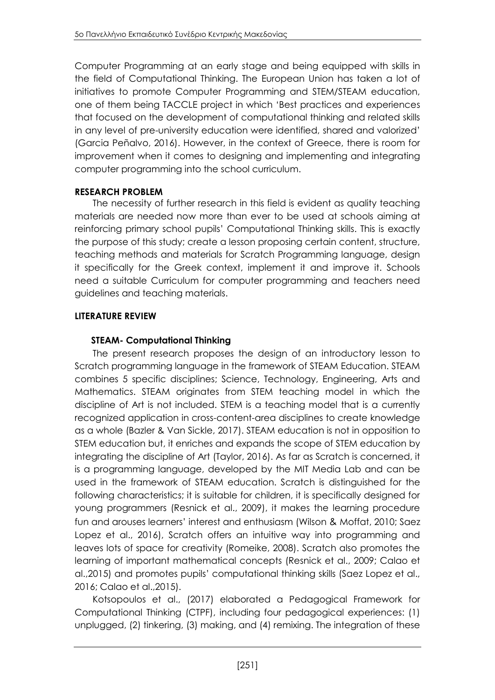Computer Programming at an early stage and being equipped with skills in the field of Computational Thinking. The European Union has taken a lot of initiatives to promote Computer Programming and STEM/STEAM education, one of them being TACCLE project in which 'Best practices and experiences that focused on the development of computational thinking and related skills in any level of pre-university education were identified, shared and valorized' (Garcia Peñalvo, 2016). However, in the context of Greece, there is room for improvement when it comes to designing and implementing and integrating computer programming into the school curriculum.

#### **RESEARCH PROBLEM**

The necessity of further research in this field is evident as quality teaching materials are needed now more than ever to be used at schools aiming at reinforcing primary school pupils' Computational Thinking skills. This is exactly the purpose of this study; create a lesson proposing certain content, structure, teaching methods and materials for Scratch Programming language, design it specifically for the Greek context, implement it and improve it. Schools need a suitable Curriculum for computer programming and teachers need guidelines and teaching materials.

## **LITERATURE REVIEW**

## **STEAM- Computational Thinking**

The present research proposes the design of an introductory lesson to Scratch programming language in the framework of STEAM Education. STEAM combines 5 specific disciplines; Science, Technology, Engineering, Arts and Mathematics. STEAM originates from STEM teaching model in which the discipline of Art is not included. STEM is a teaching model that is a currently recognized application in cross-content-area disciplines to create knowledge as a whole (Bazler & Van Sickle, 2017). STEAM education is not in opposition to STEM education but, it enriches and expands the scope of STEM education by integrating the discipline of Art (Taylor, 2016). As far as Scratch is concerned, it is a programming language, developed by the MIT Media Lab and can be used in the framework of STEAM education. Scratch is distinguished for the following characteristics; it is suitable for children, it is specifically designed for young programmers (Resnick et al., 2009), it makes the learning procedure fun and arouses learners' interest and enthusiasm (Wilson & Moffat, 2010; Saez Lopez et al., 2016), Scratch offers an intuitive way into programming and leaves lots of space for creativity (Romeike, 2008). Scratch also promotes the learning of important mathematical concepts (Resnick et al., 2009; Calao et al.,2015) and promotes pupils' computational thinking skills (Saez Lopez et al., 2016; Calao et al.,2015).

Kotsopoulos et al., (2017) elaborated a Pedagogical Framework for Computational Thinking (CTPF), including four pedagogical experiences: (1) unplugged, (2) tinkering, (3) making, and (4) remixing. The integration of these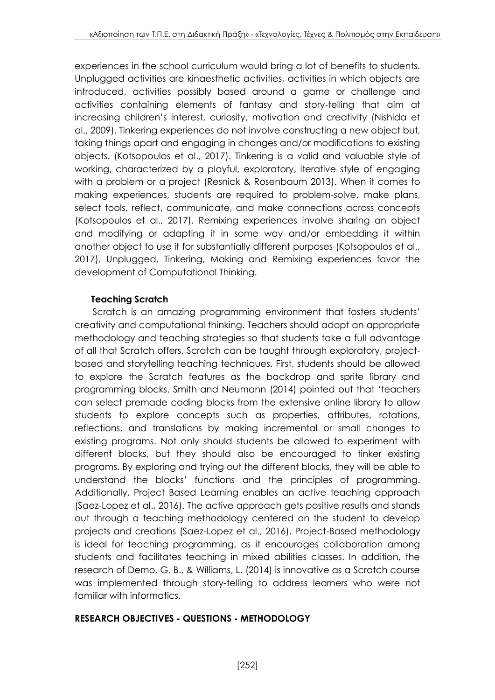experiences in the school curriculum would bring a lot of benefits to students. Unplugged activities are kinaesthetic activities, activities in which objects are introduced, activities possibly based around a game or challenge and activities containing elements of fantasy and story-telling that aim at increasing children's interest, curiosity, motivation and creativity (Nishida et al., 2009). Tinkering experiences do not involve constructing a new object but, taking things apart and engaging in changes and/or modifications to existing objects. (Kotsopoulos et al., 2017). Tinkering is a valid and valuable style of working, characterized by a playful, exploratory, iterative style of engaging with a problem or a project (Resnick & Rosenbaum 2013). When it comes to making experiences, students are required to problem-solve, make plans, select tools, reflect, communicate, and make connections across concepts (Kotsopoulos et al., 2017). Remixing experiences involve sharing an object and modifying or adapting it in some way and/or embedding it within another object to use it for substantially different purposes (Kotsopoulos et al., 2017). Unplugged, Tinkering, Making and Remixing experiences favor the development of Computational Thinking.

## **Teaching Scratch**

Scratch is an amazing programming environment that fosters students' creativity and computational thinking. Teachers should adopt an appropriate methodology and teaching strategies so that students take a full advantage of all that Scratch offers. Scratch can be taught through exploratory, projectbased and storytelling teaching techniques. First, students should be allowed to explore the Scratch features as the backdrop and sprite library and programming blocks. Smith and Neumann (2014) pointed out that 'teachers can select premade coding blocks from the extensive online library to allow students to explore concepts such as properties, attributes, rotations, reflections, and translations by making incremental or small changes to existing programs. Not only should students be allowed to experiment with different blocks, but they should also be encouraged to tinker existing programs. By exploring and trying out the different blocks, they will be able to understand the blocks' functions and the principles of programming. Additionally, Project Based Learning enables an active teaching approach (Saez-Lopez et al., 2016). The active approach gets positive results and stands out through a teaching methodology centered on the student to develop projects and creations (Saez-Lopez et al., 2016). Project-Based methodology is ideal for teaching programming, as it encourages collaboration among students and facilitates teaching in mixed abilities classes. In addition, the research of Demo, G, B., & Williams, L. (2014) is innovative as a Scratch course was implemented through story-telling to address learners who were not familiar with informatics.

## **RESEARCH OBJECTIVES - QUESTIONS - METHODOLOGY**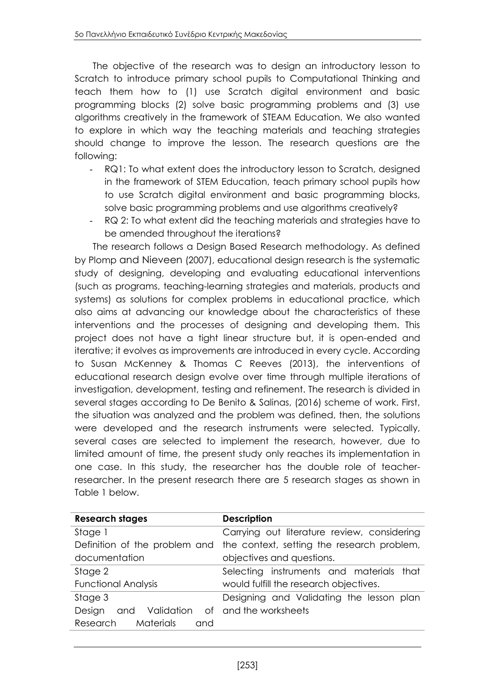The objective of the research was to design an introductory lesson to Scratch to introduce primary school pupils to Computational Thinking and teach them how to (1) use Scratch digital environment and basic programming blocks (2) solve basic programming problems and (3) use algorithms creatively in the framework of STEAM Education. We also wanted to explore in which way the teaching materials and teaching strategies should change to improve the lesson. The research questions are the following:

- RQ1: To what extent does the introductory lesson to Scratch, designed in the framework of STEM Education, teach primary school pupils how to use Scratch digital environment and basic programming blocks, solve basic programming problems and use algorithms creatively?
- RQ 2: To what extent did the teaching materials and strategies have to be amended throughout the iterations?

The research follows a Design Based Research methodology. As defined by Plomp and Nieveen (2007), educational design research is the systematic study of designing, developing and evaluating educational interventions (such as programs, teaching-learning strategies and materials, products and systems) as solutions for complex problems in educational practice, which also aims at advancing our knowledge about the characteristics of these interventions and the processes of designing and developing them. This project does not have a tight linear structure but, it is open-ended and iterative; it evolves as improvements are introduced in every cycle. According to [Susan McKenney](https://www.google.es/search?tbo=p&tbm=bks&q=inauthor:%22Susan+McKenney%22) & [Thomas C Reeves](https://www.google.es/search?tbo=p&tbm=bks&q=inauthor:%22Thomas+C+Reeves%22) (2013), the interventions of educational research design evolve over time through multiple iterations of investigation, development, testing and refinement. The research is divided in several stages according to De Benito & Salinas, (2016) scheme of work. First, the situation was analyzed and the problem was defined, then, the solutions were developed and the research instruments were selected. Typically, several cases are selected to implement the research, however, due to limited amount of time, the present study only reaches its implementation in one case. In this study, the researcher has the double role of teacherresearcher. In the present research there are 5 research stages as shown in Table 1 below.

| <b>Research stages</b>                              | <b>Description</b>                                                       |  |
|-----------------------------------------------------|--------------------------------------------------------------------------|--|
| Stage 1                                             | Carrying out literature review, considering                              |  |
|                                                     | Definition of the problem and the context, setting the research problem, |  |
| documentation                                       | objectives and questions.                                                |  |
| Selecting instruments and materials that<br>Stage 2 |                                                                          |  |
| <b>Functional Analysis</b>                          | would fulfill the research objectives.                                   |  |
| Stage 3                                             | Designing and Validating the lesson plan                                 |  |
| Design<br>and                                       | Validation of and the worksheets                                         |  |
| <b>Materials</b><br>Research<br>and                 |                                                                          |  |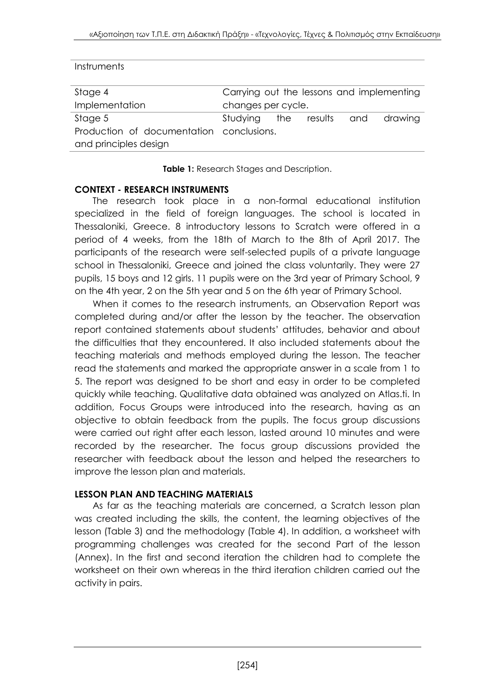| Instruments                              |                    |                 |                                           |
|------------------------------------------|--------------------|-----------------|-------------------------------------------|
| Stage 4                                  |                    |                 | Carrying out the lessons and implementing |
| Implementation                           | changes per cycle. |                 |                                           |
| Stage 5                                  | Studying           | the results and | drawing                                   |
| Production of documentation conclusions. |                    |                 |                                           |
| and principles design                    |                    |                 |                                           |

**Table 1:** Research Stages and Description.

#### **CONTEXT - RESEARCH INSTRUMENTS**

The research took place in a non-formal educational institution specialized in the field of foreign languages. The school is located in Thessaloniki, Greece. 8 introductory lessons to Scratch were offered in a period of 4 weeks, from the 18th of March to the 8th of April 2017. The participants of the research were self-selected pupils of a private language school in Thessaloniki, Greece and joined the class voluntarily. They were 27 pupils, 15 boys and 12 girls. 11 pupils were on the 3rd year of Primary School, 9 on the 4th year, 2 on the 5th year and 5 on the 6th year of Primary School.

When it comes to the research instruments, an Observation Report was completed during and/or after the lesson by the teacher. The observation report contained statements about students' attitudes, behavior and about the difficulties that they encountered. It also included statements about the teaching materials and methods employed during the lesson. The teacher read the statements and marked the appropriate answer in a scale from 1 to 5. The report was designed to be short and easy in order to be completed quickly while teaching. Qualitative data obtained was analyzed on Atlas.ti. In addition, Focus Groups were introduced into the research, having as an objective to obtain feedback from the pupils. The focus group discussions were carried out right after each lesson, lasted around 10 minutes and were recorded by the researcher. The focus group discussions provided the researcher with feedback about the lesson and helped the researchers to improve the lesson plan and materials.

#### **LESSON PLAN AND TEACHING MATERIALS**

As far as the teaching materials are concerned, a Scratch lesson plan was created including the skills, the content, the learning objectives of the lesson (Table 3) and the methodology (Table 4). In addition, a worksheet with programming challenges was created for the second Part of the lesson (Annex). In the first and second iteration the children had to complete the worksheet on their own whereas in the third iteration children carried out the activity in pairs.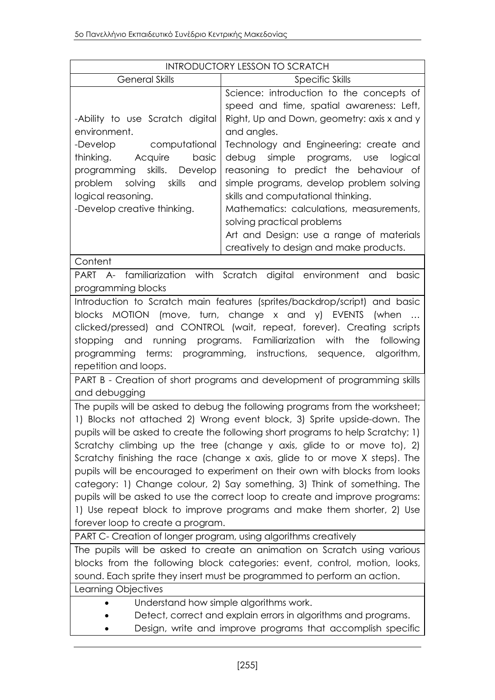| <b>INTRODUCTORY LESSON TO SCRATCH</b>                                                      |                                                                                  |  |
|--------------------------------------------------------------------------------------------|----------------------------------------------------------------------------------|--|
| <b>General Skills</b>                                                                      | Specific Skills                                                                  |  |
|                                                                                            | Science: introduction to the concepts of                                         |  |
|                                                                                            | speed and time, spatial awareness: Left,                                         |  |
| -Ability to use Scratch digital                                                            | Right, Up and Down, geometry: axis x and y                                       |  |
| environment.                                                                               | and angles.                                                                      |  |
| -Develop<br>computational                                                                  | Technology and Engineering: create and                                           |  |
| thinking. Acquire<br>basic                                                                 | simple programs, use<br>debug<br>logical                                         |  |
| programming skills. Develop                                                                | reasoning to predict the behaviour of                                            |  |
| problem<br>solving skills<br>and                                                           | simple programs, develop problem solving                                         |  |
| logical reasoning.                                                                         | skills and computational thinking.                                               |  |
| -Develop creative thinking.                                                                | Mathematics: calculations, measurements,                                         |  |
|                                                                                            | solving practical problems                                                       |  |
|                                                                                            | Art and Design: use a range of materials                                         |  |
|                                                                                            | creatively to design and make products.                                          |  |
| Content                                                                                    |                                                                                  |  |
|                                                                                            | PART A- familiarization with Scratch digital environment and<br>basic            |  |
| programming blocks                                                                         |                                                                                  |  |
|                                                                                            | Introduction to Scratch main features (sprites/backdrop/script) and basic        |  |
|                                                                                            | blocks MOTION (move, turn, change x and y) EVENTS (when<br>$\cdots$              |  |
|                                                                                            | clicked/pressed) and CONTROL (wait, repeat, forever). Creating scripts           |  |
| stopping                                                                                   | and running programs. Familiarization with<br>the<br>following                   |  |
| repetition and loops.                                                                      | programming terms: programming, instructions, sequence, algorithm,               |  |
|                                                                                            |                                                                                  |  |
| PART B - Creation of short programs and development of programming skills<br>and debugging |                                                                                  |  |
|                                                                                            | The pupils will be asked to debug the following programs from the worksheet;     |  |
|                                                                                            | 1) Blocks not attached 2) Wrong event block, 3) Sprite upside-down. The          |  |
|                                                                                            | pupils will be asked to create the following short programs to help Scratchy; 1) |  |
|                                                                                            | Scratchy climbing up the tree (change y axis, glide to or move to), 2)           |  |
|                                                                                            | Scratchy finishing the race (change x axis, glide to or move X steps). The       |  |
|                                                                                            | pupils will be encouraged to experiment on their own with blocks from looks      |  |
|                                                                                            | category: 1) Change colour, 2) Say something, 3) Think of something. The         |  |
|                                                                                            | pupils will be asked to use the correct loop to create and improve programs:     |  |
|                                                                                            | 1) Use repeat block to improve programs and make them shorter, 2) Use            |  |
| forever loop to create a program.                                                          |                                                                                  |  |
| PART C- Creation of longer program, using algorithms creatively                            |                                                                                  |  |
|                                                                                            | The pupils will be asked to create an animation on Scratch using various         |  |
| blocks from the following block categories: event, control, motion, looks,                 |                                                                                  |  |
| sound. Each sprite they insert must be programmed to perform an action.                    |                                                                                  |  |
| Learning Objectives                                                                        |                                                                                  |  |
| Understand how simple algorithms work.                                                     |                                                                                  |  |
| Detect, correct and explain errors in algorithms and programs.                             |                                                                                  |  |
|                                                                                            | Design, write and improve programs that accomplish specific                      |  |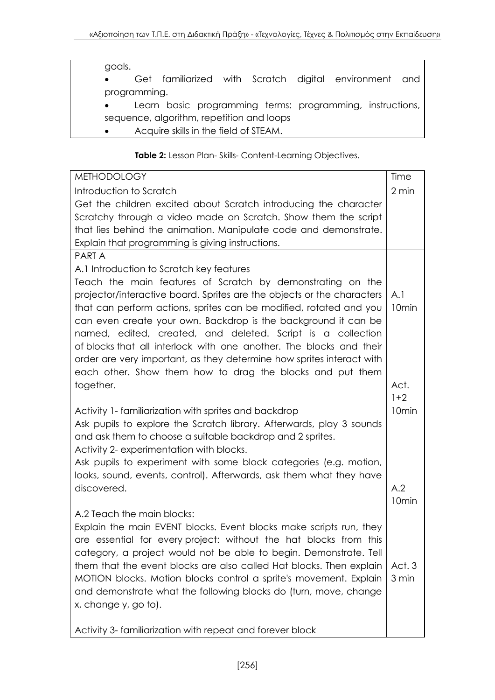#### goals.

- Get familiarized with Scratch digital environment and programming.
- Learn basic programming terms: programming, instructions, sequence, algorithm, repetition and loops
- Acquire skills in the field of STEAM.

#### **Table 2:** Lesson Plan- Skills- Content-Learning Objectives.

| <b>METHODOLOGY</b>                                                     | Time              |
|------------------------------------------------------------------------|-------------------|
| Introduction to Scratch                                                | 2 min             |
| Get the children excited about Scratch introducing the character       |                   |
| Scratchy through a video made on Scratch. Show them the script         |                   |
| that lies behind the animation. Manipulate code and demonstrate.       |                   |
| Explain that programming is giving instructions.                       |                   |
| <b>PARTA</b>                                                           |                   |
| A.1 Introduction to Scratch key features                               |                   |
| Teach the main features of Scratch by demonstrating on the             |                   |
| projector/interactive board. Sprites are the objects or the characters | A.1               |
| that can perform actions, sprites can be modified, rotated and you     | 10 <sub>min</sub> |
| can even create your own. Backdrop is the background it can be         |                   |
| named, edited, created, and deleted. Script is a collection            |                   |
| of blocks that all interlock with one another. The blocks and their    |                   |
| order are very important, as they determine how sprites interact with  |                   |
| each other. Show them how to drag the blocks and put them              |                   |
| together.                                                              | Act.              |
|                                                                        | $1+2$             |
| Activity 1- familiarization with sprites and backdrop                  | 10 <sub>min</sub> |
| Ask pupils to explore the Scratch library. Afterwards, play 3 sounds   |                   |
| and ask them to choose a suitable backdrop and 2 sprites.              |                   |
| Activity 2- experimentation with blocks.                               |                   |
| Ask pupils to experiment with some block categories (e.g. motion,      |                   |
| looks, sound, events, control). Afterwards, ask them what they have    |                   |
| discovered.                                                            | A.2               |
| A.2 Teach the main blocks:                                             | 10 <sub>min</sub> |
| Explain the main EVENT blocks. Event blocks make scripts run, they     |                   |
| are essential for every project: without the hat blocks from this      |                   |
| category, a project would not be able to begin. Demonstrate. Tell      |                   |
| them that the event blocks are also called Hat blocks. Then explain    | Act. 3            |
| MOTION blocks. Motion blocks control a sprite's movement. Explain      | 3 min             |
| and demonstrate what the following blocks do (turn, move, change       |                   |
| x, change y, go to).                                                   |                   |
|                                                                        |                   |
| Activity 3- familiarization with repeat and forever block              |                   |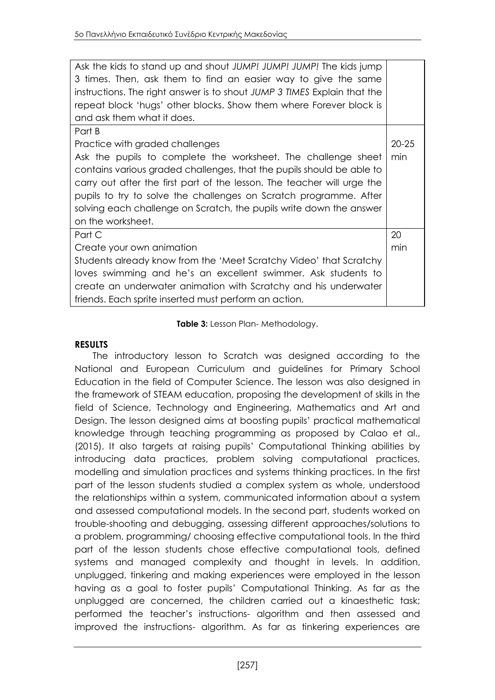| Ask the kids to stand up and shout JUMP! JUMP! JUMP! The kids jump<br>3 times. Then, ask them to find an easier way to give the same<br>instructions. The right answer is to shout JUMP 3 TIMES Explain that the<br>repeat block 'hugs' other blocks. Show them where Forever block is<br>and ask them what it does.                                                                                                            |                  |
|---------------------------------------------------------------------------------------------------------------------------------------------------------------------------------------------------------------------------------------------------------------------------------------------------------------------------------------------------------------------------------------------------------------------------------|------------------|
| Part B<br>Practice with graded challenges<br>Ask the pupils to complete the worksheet. The challenge sheet<br>contains various graded challenges, that the pupils should be able to<br>carry out after the first part of the lesson. The teacher will urge the<br>pupils to try to solve the challenges on Scratch programme. After<br>solving each challenge on Scratch, the pupils write down the answer<br>on the worksheet. | $20 - 25$<br>min |
| Part C                                                                                                                                                                                                                                                                                                                                                                                                                          | 20               |
| Create your own animation                                                                                                                                                                                                                                                                                                                                                                                                       | min              |
| Students already know from the 'Meet Scratchy Video' that Scratchy                                                                                                                                                                                                                                                                                                                                                              |                  |
| loves swimming and he's an excellent swimmer. Ask students to                                                                                                                                                                                                                                                                                                                                                                   |                  |
| create an underwater animation with Scratchy and his underwater                                                                                                                                                                                                                                                                                                                                                                 |                  |
| friends. Each sprite inserted must perform an action.                                                                                                                                                                                                                                                                                                                                                                           |                  |

#### **Table 3:** Lesson Plan- Methodology.

#### **RESULTS**

The introductory lesson to Scratch was designed according to the National and European Curriculum and guidelines for Primary School Education in the field of Computer Science. The lesson was also designed in the framework of STEAM education, proposing the development of skills in the field of Science, Technology and Engineering, Mathematics and Art and Design. The lesson designed aims at boosting pupils' practical mathematical knowledge through teaching programming as proposed by Calao et al., (2015). It also targets at raising pupils' Computational Thinking abilities by introducing data practices, problem solving computational practices, modelling and simulation practices and systems thinking practices. In the first part of the lesson students studied a complex system as whole, understood the relationships within a system, communicated information about a system and assessed computational models. In the second part, students worked on trouble-shooting and debugging, assessing different approaches/solutions to a problem, programming/ choosing effective computational tools. In the third part of the lesson students chose effective computational tools, defined systems and managed complexity and thought in levels. In addition, unplugged, tinkering and making experiences were employed in the lesson having as a goal to foster pupils' Computational Thinking. As far as the unplugged are concerned, the children carried out a kinaesthetic task; performed the teacher's instructions- algorithm and then assessed and improved the instructions- algorithm. As far as tinkering experiences are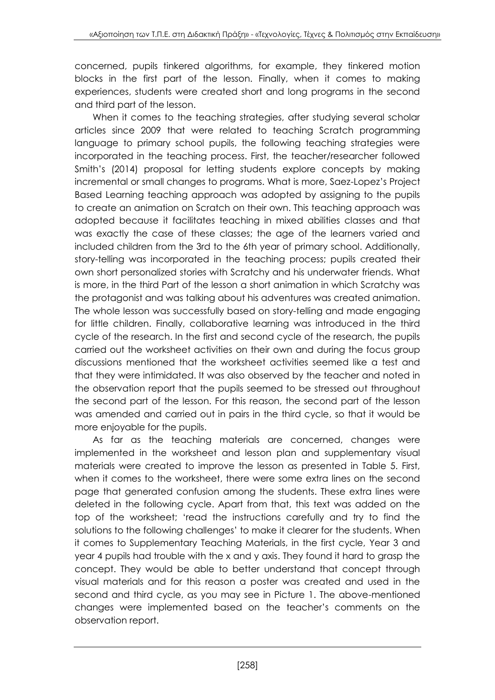concerned, pupils tinkered algorithms, for example, they tinkered motion blocks in the first part of the lesson. Finally, when it comes to making experiences, students were created short and long programs in the second and third part of the lesson.

When it comes to the teaching strategies, after studying several scholar articles since 2009 that were related to teaching Scratch programming language to primary school pupils, the following teaching strategies were incorporated in the teaching process. First, the teacher/researcher followed Smith's (2014) proposal for letting students explore concepts by making incremental or small changes to programs. What is more, Saez-Lopez's Project Based Learning teaching approach was adopted by assigning to the pupils to create an animation on Scratch on their own. This teaching approach was adopted because it facilitates teaching in mixed abilities classes and that was exactly the case of these classes; the age of the learners varied and included children from the 3rd to the 6th year of primary school. Additionally, story-telling was incorporated in the teaching process; pupils created their own short personalized stories with Scratchy and his underwater friends. What is more, in the third Part of the lesson a short animation in which Scratchy was the protagonist and was talking about his adventures was created animation. The whole lesson was successfully based on story-telling and made engaging for little children. Finally, collaborative learning was introduced in the third cycle of the research. In the first and second cycle of the research, the pupils carried out the worksheet activities on their own and during the focus group discussions mentioned that the worksheet activities seemed like a test and that they were intimidated. It was also observed by the teacher and noted in the observation report that the pupils seemed to be stressed out throughout the second part of the lesson. For this reason, the second part of the lesson was amended and carried out in pairs in the third cycle, so that it would be more enjoyable for the pupils.

As far as the teaching materials are concerned, changes were implemented in the worksheet and lesson plan and supplementary visual materials were created to improve the lesson as presented in Table 5. First, when it comes to the worksheet, there were some extra lines on the second page that generated confusion among the students. These extra lines were deleted in the following cycle. Apart from that, this text was added on the top of the worksheet; 'read the instructions carefully and try to find the solutions to the following challenges' to make it clearer for the students. When it comes to Supplementary Teaching Materials, in the first cycle, Year 3 and year 4 pupils had trouble with the x and y axis. They found it hard to grasp the concept. They would be able to better understand that concept through visual materials and for this reason a poster was created and used in the second and third cycle, as you may see in Picture 1. The above-mentioned changes were implemented based on the teacher's comments on the observation report.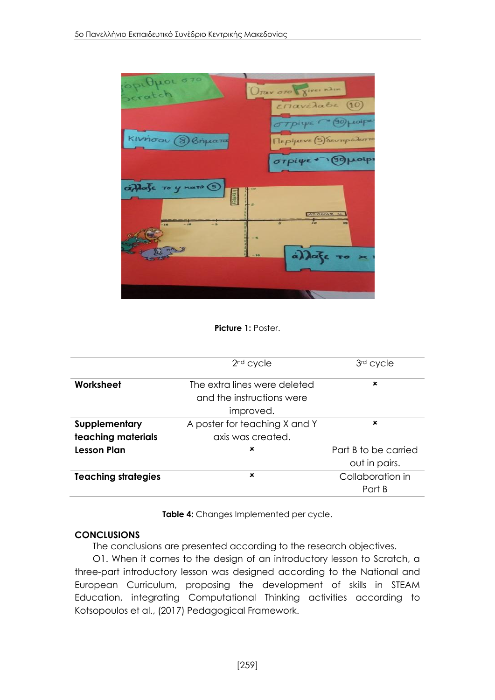

Picture 1: Poster.

|                            | $2nd$ cycle                   | 3rd cycle            |
|----------------------------|-------------------------------|----------------------|
| Worksheet                  | The extra lines were deleted  | ×                    |
|                            | and the instructions were     |                      |
|                            | improved.                     |                      |
| Supplementary              | A poster for teaching X and Y | ×                    |
| teaching materials         | axis was created.             |                      |
| <b>Lesson Plan</b>         | $\boldsymbol{\mathsf{x}}$     | Part B to be carried |
|                            |                               | out in pairs.        |
| <b>Teaching strategies</b> | ×                             | Collaboration in     |
|                            |                               | Part B               |

**Table 4:** Changes Implemented per cycle.

#### **CONCLUSIONS**

The conclusions are presented according to the research objectives.

O1. When it comes to the design of an introductory lesson to Scratch, a three-part introductory lesson was designed according to the National and European Curriculum, proposing the development of skills in STEAM Education, integrating Computational Thinking activities according to Kotsopoulos et al., (2017) Pedagogical Framework.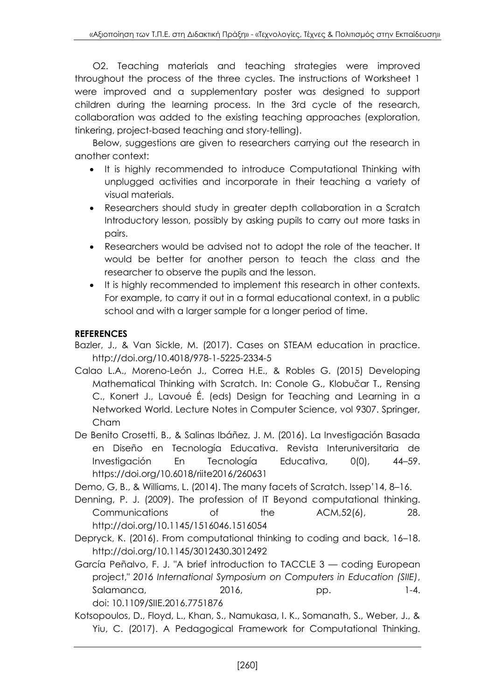O2. Teaching materials and teaching strategies were improved throughout the process of the three cycles. The instructions of Worksheet 1 were improved and a supplementary poster was designed to support children during the learning process. In the 3rd cycle of the research, collaboration was added to the existing teaching approaches (exploration, tinkering, project-based teaching and story-telling).

Below, suggestions are given to researchers carrying out the research in another context:

- It is highly recommended to introduce Computational Thinking with unplugged activities and incorporate in their teaching a variety of visual materials.
- Researchers should study in greater depth collaboration in a Scratch Introductory lesson, possibly by asking pupils to carry out more tasks in pairs.
- Researchers would be advised not to adopt the role of the teacher. It would be better for another person to teach the class and the researcher to observe the pupils and the lesson.
- It is highly recommended to implement this research in other contexts. For example, to carry it out in a formal educational context, in a public school and with a larger sample for a longer period of time.

## **REFERENCES**

- Bazler, J., & Van Sickle, M. (2017). Cases on STEAM education in practice. [http://doi.org/10.4018/978-1-5225-2334-5](http://doi.org/10.4018/978-%20%20%201-5225-2334-5)
- Calao L.A., Moreno-León J., Correa H.E., & Robles G. (2015) Developing Mathematical Thinking with Scratch. In: Conole G., Klobučar T., Rensing C., Konert J., Lavoué É. (eds) Design for Teaching and Learning in a Networked World. Lecture Notes in Computer Science, vol 9307. Springer, Cham
- De Benito Crosetti, B., & Salinas Ibáñez, J. M. (2016). La Investigación Basada en Diseño en Tecnología Educativa. Revista Interuniversitaria de Investigación En Tecnología Educativa, 0(0), 44–59. <https://doi.org/10.6018/riite2016/260631>

Demo, G, B., & Williams, L. (2014). The many facets of Scratch. Issep'14, 8–16.

- Denning, P. J. (2009). The profession of IT Beyond computational thinking. Communications of the ACM,52(6), 28. <http://doi.org/10.1145/1516046.1516054>
- Depryck, K. (2016). From computational thinking to coding and back, 16–18. <http://doi.org/10.1145/3012430.3012492>
- García Peñalvo, F. J. "A brief introduction to TACCLE 3 coding European project," *2016 International Symposium on Computers in Education (SIIE)*, Salamanca, 2016, pp. 1-4. doi: 10.1109/SIIE.2016.7751876
- Kotsopoulos, D., Floyd, L., Khan, S., Namukasa, I. K., Somanath, S., Weber, J., & Yiu, C. (2017). A Pedagogical Framework for Computational Thinking.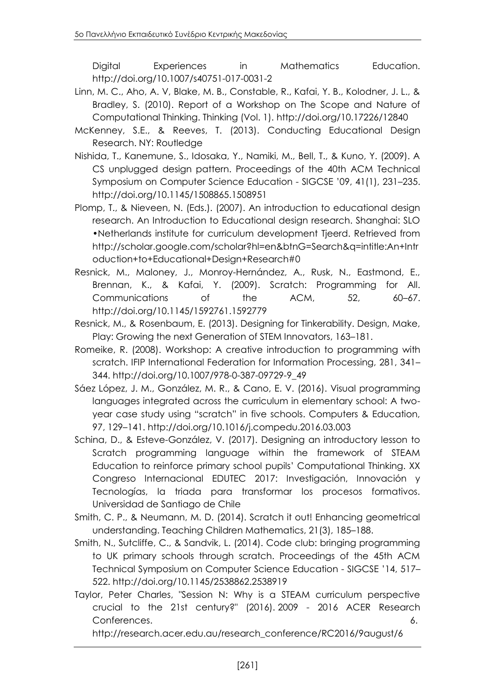Digital Experiences in Mathematics Education. <http://doi.org/10.1007/s40751-017-0031-2>

- Linn, M. C., Aho, A. V, Blake, M. B., Constable, R., Kafai, Y. B., Kolodner, J. L., & Bradley, S. (2010). Report of a Workshop on The Scope and Nature of Computational Thinking. Thinking (Vol. 1).<http://doi.org/10.17226/12840>
- McKenney, S.E., & Reeves, T. (2013). Conducting Educational Design Research. NY: Routledge
- Nishida, T., Kanemune, S., Idosaka, Y., Namiki, M., Bell, T., & Kuno, Y. (2009). A CS unplugged design pattern. Proceedings of the 40th ACM Technical Symposium on Computer Science Education - SIGCSE '09, 41(1), 231–235. <http://doi.org/10.1145/1508865.1508951>
- Plomp, T., & Nieveen, N. (Eds.). (2007). An introduction to educational design research. An Introduction to Educational design research. Shanghai: SLO •Netherlands institute for curriculum development Tjeerd. Retrieved from http://scholar.google.com/scholar?hl=en&btnG=Search&q=intitle:An+Intr oduction+to+Educational+Design+Research#0
- Resnick, M., Maloney, J., Monroy-Hernández, A., Rusk, N., Eastmond, E., Brennan, K., & Kafai, Y. (2009). Scratch: Programming for All. Communications of the ACM, 52, 60–67. <http://doi.org/10.1145/1592761.1592779>
- Resnick, M., & Rosenbaum, E. (2013). Designing for Tinkerability. Design, Make, Play: Growing the next Generation of STEM Innovators, 163–181.
- Romeike, R. (2008). Workshop: A creative introduction to programming with scratch. IFIP International Federation for Information Processing, 281, 341– 344. [http://doi.org/10.1007/978-0-387-09729-9\\_49](http://doi.org/10.1007/978-0-387-09729-9_49)
- Sáez López, J. M., González, M. R., & Cano, E. V. (2016). Visual programming languages integrated across the curriculum in elementary school: A twoyear case study using "scratch" in five schools. Computers & Education, 97, 129–141.<http://doi.org/10.1016/j.compedu.2016.03.003>
- Schina, D., & Esteve-González, V. (2017). Designing an introductory lesson to Scratch programming language within the framework of STEAM Education to reinforce primary school pupils' Computational Thinking. XX Congreso Internacional EDUTEC 2017: Investigación, Innovación y Tecnologías, la triada para transformar los procesos formativos. Universidad de Santiago de Chile
- Smith, C. P., & Neumann, M. D. (2014). Scratch it out! Enhancing geometrical understanding. Teaching Children Mathematics, 21(3), 185–188.
- Smith, N., Sutcliffe, C., & Sandvik, L. (2014). Code club: bringing programming to UK primary schools through scratch. Proceedings of the 45th ACM Technical Symposium on Computer Science Education - SIGCSE '14, 517– 522.<http://doi.org/10.1145/2538862.2538919>
- Taylor, Peter Charles, "Session N: Why is a STEAM curriculum perspective crucial to the 21st century?" (2016). 2009 - 2016 ACER Research Conferences. 6.

http://research.acer.edu.au/research\_conference/RC2016/9august/6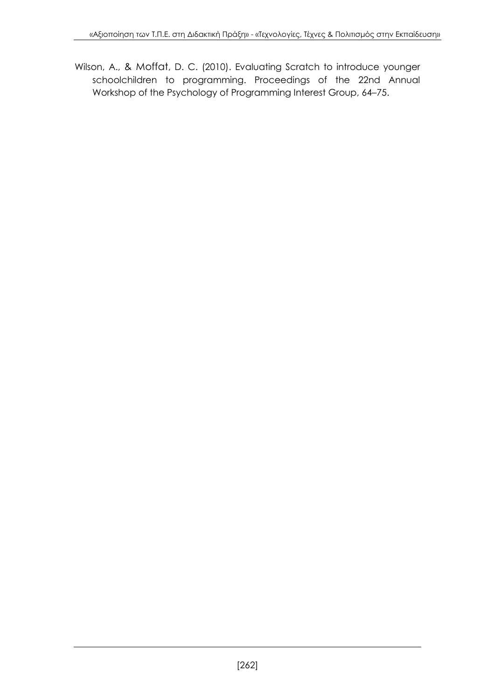Wilson, A., & Moffat, D. C. (2010). Evaluating Scratch to introduce younger schoolchildren to programming. Proceedings of the 22nd Annual Workshop of the Psychology of Programming Interest Group, 64–75.